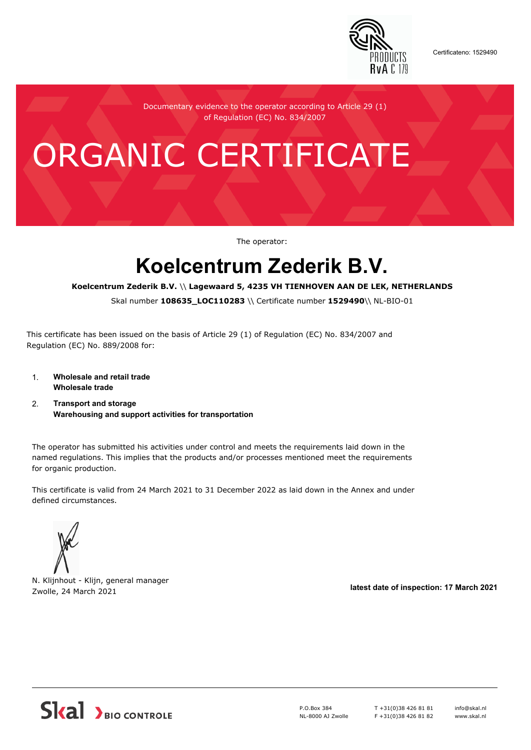

Certificateno: 1529490

Documentary evidence to the operator according to Article 29 (1) of Regulation (EC) No. 834/2007

# ORGANIC CERTIFICATE

The operator:

## **Koelcentrum Zederik B.V.**

#### **Koelcentrum Zederik B.V.** \\ **Lagewaard 5, 4235 VH TIENHOVEN AAN DE LEK, NETHERLANDS**

Skal number **108635\_LOC110283** \\ Certificate number **1529490**\\ NL-BIO-01

This certificate has been issued on the basis of Article 29 (1) of Regulation (EC) No. 834/2007 and Regulation (EC) No. 889/2008 for:

- 1. **Wholesale and retail trade Wholesale trade**
- 2. **Transport and storage Warehousing and support activities for transportation**

The operator has submitted his activities under control and meets the requirements laid down in the named regulations. This implies that the products and/or processes mentioned meet the requirements for organic production.

This certificate is valid from 24 March 2021 to 31 December 2022 as laid down in the Annex and under defined circumstances.



N. Klijnhout - Klijn, general manager Zwolle, 24 March 2021 **latest date of inspection: 17 March 2021**



P.O.Box 384 NL-8000 AJ Zwolle T +31(0)38 426 81 81 F +31(0)38 426 81 82